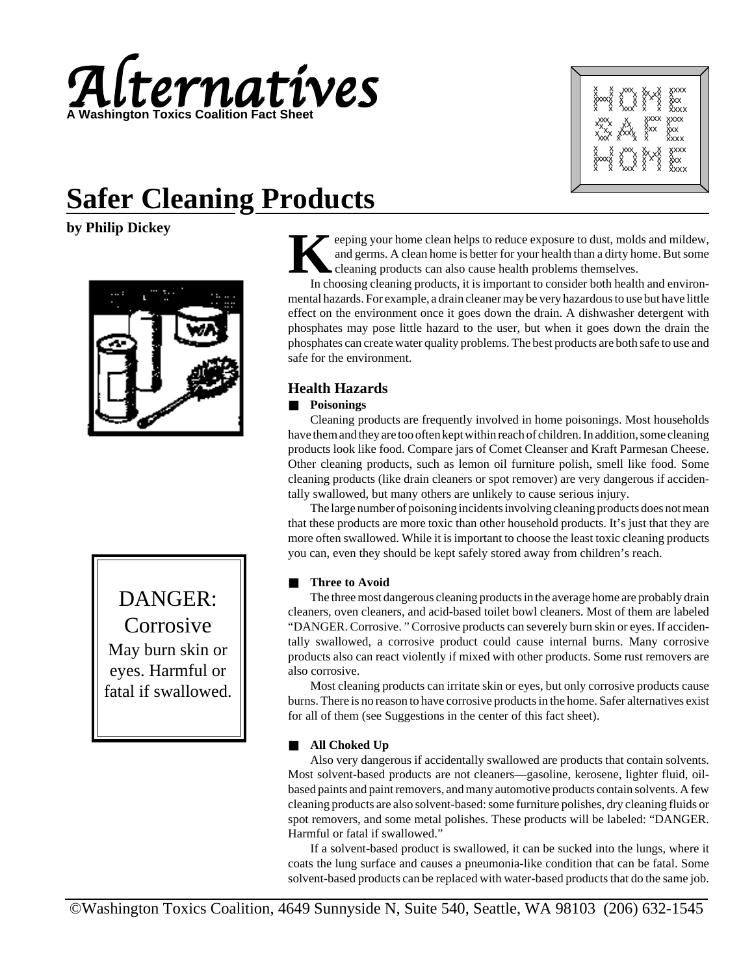

|                     |                     |                  | xxxx<br>xxx<br>xxxx |
|---------------------|---------------------|------------------|---------------------|
|                     | ********<br>******* |                  |                     |
|                     | xxx<br>xxx xxx      | xxxx<br>xxx<br>x | xxxx<br>Xxx<br>xxxx |
|                     |                     |                  |                     |
| X<br>XxxX<br>X<br>X | ▓▓                  |                  | xxxx<br>xxx<br>xxxx |
|                     |                     |                  |                     |

# **Safer Cleaning Products**

**by Philip Dickey**



DANGER: Corrosive May burn skin or eyes. Harmful or fatal if swallowed.

eeping your home clean helps to reduce exposure to dust, molds and mildew, and germs. A clean home is better for your health than a dirty home. But some cleaning products can also cause health problems themselves.

In choosing cleaning products, it is important to consider both health and environmental hazards. For example, a drain cleaner may be very hazardous to use but have little effect on the environment once it goes down the drain. A dishwasher detergent with phosphates may pose little hazard to the user, but when it goes down the drain the phosphates can create water quality problems. The best products are both safe to use and safe for the environment.

## **Health Hazards**

## ■ **Poisonings**

Cleaning products are frequently involved in home poisonings. Most households have them and they are too often kept within reach of children. In addition, some cleaning products look like food. Compare jars of Comet Cleanser and Kraft Parmesan Cheese. Other cleaning products, such as lemon oil furniture polish, smell like food. Some cleaning products (like drain cleaners or spot remover) are very dangerous if accidentally swallowed, but many others are unlikely to cause serious injury.

The large number of poisoning incidents involving cleaning products does not mean that these products are more toxic than other household products. It's just that they are more often swallowed. While it is important to choose the least toxic cleaning products you can, even they should be kept safely stored away from children's reach.

## **Three to Avoid**

The three most dangerous cleaning products in the average home are probably drain cleaners, oven cleaners, and acid-based toilet bowl cleaners. Most of them are labeled "DANGER. Corrosive. " Corrosive products can severely burn skin or eyes. If accidentally swallowed, a corrosive product could cause internal burns. Many corrosive products also can react violently if mixed with other products. Some rust removers are also corrosive.

Most cleaning products can irritate skin or eyes, but only corrosive products cause burns. There is no reason to have corrosive products in the home. Safer alternatives exist for all of them (see Suggestions in the center of this fact sheet).

## ■ **All Choked Up**

Also very dangerous if accidentally swallowed are products that contain solvents. Most solvent-based products are not cleaners—gasoline, kerosene, lighter fluid, oilbased paints and paint removers, and many automotive products contain solvents. A few cleaning products are also solvent-based: some furniture polishes, dry cleaning fluids or spot removers, and some metal polishes. These products will be labeled: "DANGER. Harmful or fatal if swallowed."

If a solvent-based product is swallowed, it can be sucked into the lungs, where it coats the lung surface and causes a pneumonia-like condition that can be fatal. Some solvent-based products can be replaced with water-based products that do the same job.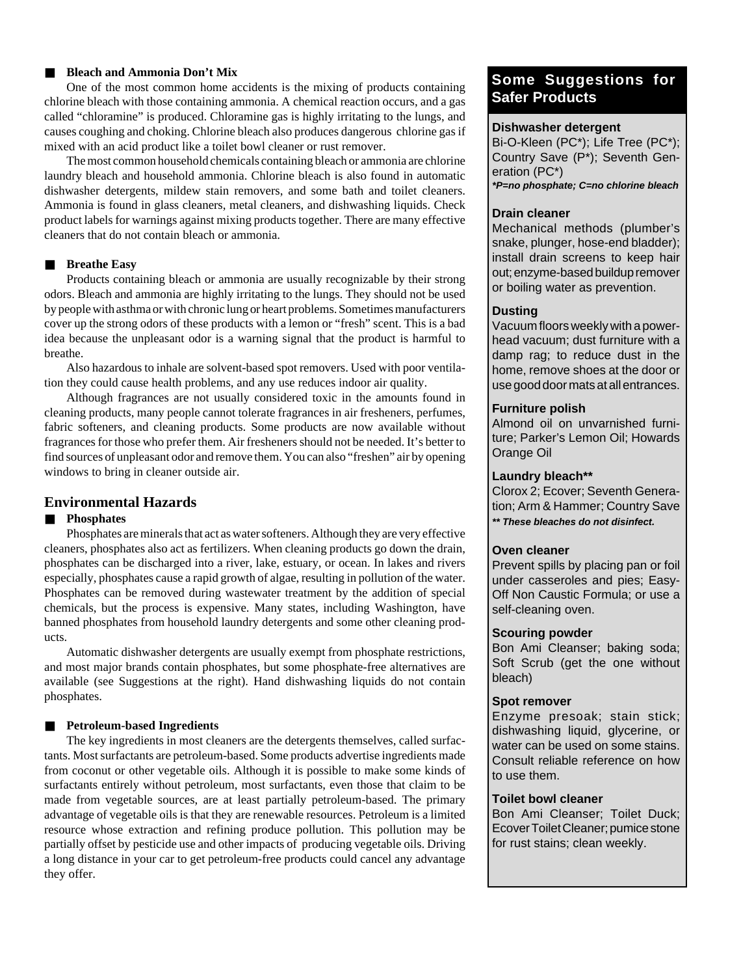#### ■ **Bleach and Ammonia Don't Mix**

One of the most common home accidents is the mixing of products containing chlorine bleach with those containing ammonia. A chemical reaction occurs, and a gas called "chloramine" is produced. Chloramine gas is highly irritating to the lungs, and causes coughing and choking. Chlorine bleach also produces dangerous chlorine gas if mixed with an acid product like a toilet bowl cleaner or rust remover.

The most common household chemicals containing bleach or ammonia are chlorine laundry bleach and household ammonia. Chlorine bleach is also found in automatic dishwasher detergents, mildew stain removers, and some bath and toilet cleaners. Ammonia is found in glass cleaners, metal cleaners, and dishwashing liquids. Check product labels for warnings against mixing products together. There are many effective cleaners that do not contain bleach or ammonia.

#### ■ **Breathe Easy**

Products containing bleach or ammonia are usually recognizable by their strong odors. Bleach and ammonia are highly irritating to the lungs. They should not be used by people with asthma or with chronic lung or heart problems. Sometimes manufacturers cover up the strong odors of these products with a lemon or "fresh" scent. This is a bad idea because the unpleasant odor is a warning signal that the product is harmful to breathe.

Also hazardous to inhale are solvent-based spot removers. Used with poor ventilation they could cause health problems, and any use reduces indoor air quality.

Although fragrances are not usually considered toxic in the amounts found in cleaning products, many people cannot tolerate fragrances in air fresheners, perfumes, fabric softeners, and cleaning products. Some products are now available without fragrances for those who prefer them. Air fresheners should not be needed. It's better to find sources of unpleasant odor and remove them. You can also "freshen" air by opening windows to bring in cleaner outside air.

## **Environmental Hazards**

#### ■ **Phosphates**

Phosphates are minerals that act as water softeners. Although they are very effective cleaners, phosphates also act as fertilizers. When cleaning products go down the drain, phosphates can be discharged into a river, lake, estuary, or ocean. In lakes and rivers especially, phosphates cause a rapid growth of algae, resulting in pollution of the water. Phosphates can be removed during wastewater treatment by the addition of special chemicals, but the process is expensive. Many states, including Washington, have banned phosphates from household laundry detergents and some other cleaning products.

Automatic dishwasher detergents are usually exempt from phosphate restrictions, and most major brands contain phosphates, but some phosphate-free alternatives are available (see Suggestions at the right). Hand dishwashing liquids do not contain phosphates.

## ■ **Petroleum-based Ingredients**

The key ingredients in most cleaners are the detergents themselves, called surfactants. Most surfactants are petroleum-based. Some products advertise ingredients made from coconut or other vegetable oils. Although it is possible to make some kinds of surfactants entirely without petroleum, most surfactants, even those that claim to be made from vegetable sources, are at least partially petroleum-based. The primary advantage of vegetable oils is that they are renewable resources. Petroleum is a limited resource whose extraction and refining produce pollution. This pollution may be partially offset by pesticide use and other impacts of producing vegetable oils. Driving a long distance in your car to get petroleum-free products could cancel any advantage they offer.

## **Some Suggestions for Safer Products**

## **Dishwasher detergent**

Bi-O-Kleen (PC\*); Life Tree (PC\*); Country Save (P\*); Seventh Generation (PC\*) **\*P=no phosphate; C=no chlorine bleach**

#### **Drain cleaner**

Mechanical methods (plumber's snake, plunger, hose-end bladder); install drain screens to keep hair out; enzyme-based buildup remover or boiling water as prevention.

#### **Dusting**

Vacuum floors weekly with a powerhead vacuum; dust furniture with a damp rag; to reduce dust in the home, remove shoes at the door or use good door mats at all entrances.

## **Furniture polish**

Almond oil on unvarnished furniture; Parker's Lemon Oil; Howards Orange Oil

## **Laundry bleach\*\***

Clorox 2; Ecover; Seventh Generation; Arm & Hammer; Country Save **\*\* These bleaches do not disinfect.**

## **Oven cleaner**

Prevent spills by placing pan or foil under casseroles and pies; Easy-Off Non Caustic Formula; or use a self-cleaning oven.

#### **Scouring powder**

Bon Ami Cleanser; baking soda; Soft Scrub (get the one without bleach)

#### **Spot remover**

Enzyme presoak; stain stick; dishwashing liquid, glycerine, or water can be used on some stains. Consult reliable reference on how to use them.

## **Toilet bowl cleaner**

Bon Ami Cleanser; Toilet Duck; Ecover Toilet Cleaner; pumice stone for rust stains; clean weekly.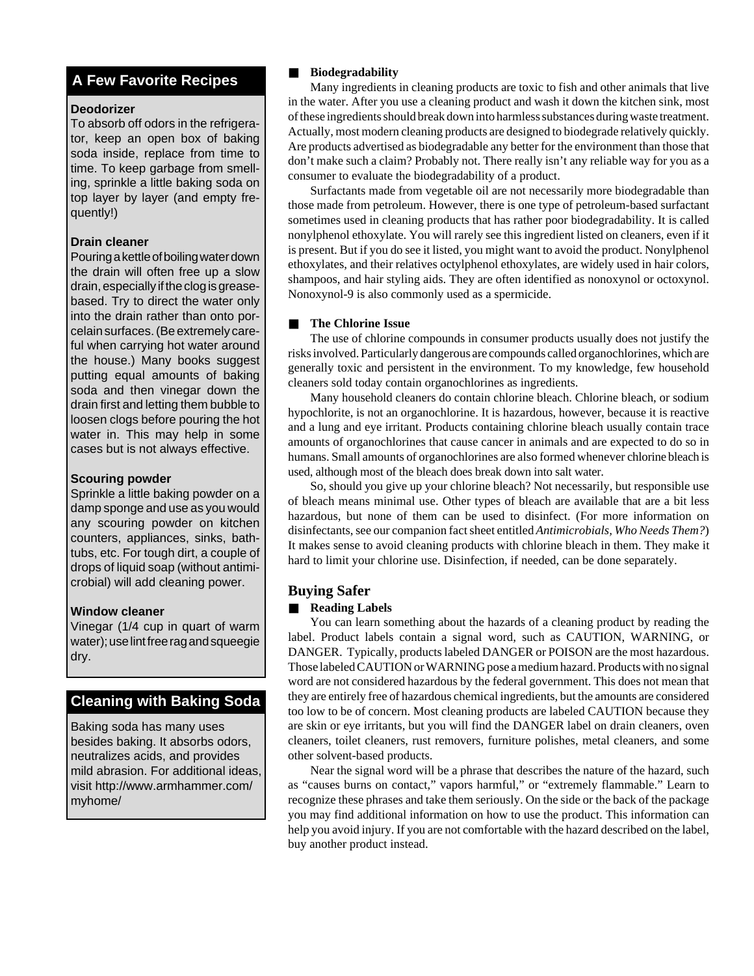## **A Few Favorite Recipes**

## **Deodorizer**

To absorb off odors in the refrigerator, keep an open box of baking soda inside, replace from time to time. To keep garbage from smelling, sprinkle a little baking soda on top layer by layer (and empty frequently!)

## **Drain cleaner**

Pouring a kettle of boiling water down the drain will often free up a slow drain, especially if the clog is greasebased. Try to direct the water only into the drain rather than onto porcelain surfaces. (Be extremely careful when carrying hot water around the house.) Many books suggest putting equal amounts of baking soda and then vinegar down the drain first and letting them bubble to loosen clogs before pouring the hot water in. This may help in some cases but is not always effective.

## **Scouring powder**

Sprinkle a little baking powder on a damp sponge and use as you would any scouring powder on kitchen counters, appliances, sinks, bathtubs, etc. For tough dirt, a couple of drops of liquid soap (without antimicrobial) will add cleaning power.

## **Window cleaner**

Vinegar (1/4 cup in quart of warm water); use lint free rag and squeegie dry.

## **Cleaning with Baking Soda**

Baking soda has many uses besides baking. It absorbs odors, neutralizes acids, and provides mild abrasion. For additional ideas, visit http://www.armhammer.com/ myhome/

## ■ **Biodegradability**

Many ingredients in cleaning products are toxic to fish and other animals that live in the water. After you use a cleaning product and wash it down the kitchen sink, most of these ingredients should break down into harmless substances during waste treatment. Actually, most modern cleaning products are designed to biodegrade relatively quickly. Are products advertised as biodegradable any better for the environment than those that don't make such a claim? Probably not. There really isn't any reliable way for you as a consumer to evaluate the biodegradability of a product.

Surfactants made from vegetable oil are not necessarily more biodegradable than those made from petroleum. However, there is one type of petroleum-based surfactant sometimes used in cleaning products that has rather poor biodegradability. It is called nonylphenol ethoxylate. You will rarely see this ingredient listed on cleaners, even if it is present. But if you do see it listed, you might want to avoid the product. Nonylphenol ethoxylates, and their relatives octylphenol ethoxylates, are widely used in hair colors, shampoos, and hair styling aids. They are often identified as nonoxynol or octoxynol. Nonoxynol-9 is also commonly used as a spermicide.

## ■ The Chlorine Issue

The use of chlorine compounds in consumer products usually does not justify the risks involved. Particularly dangerous are compounds called organochlorines, which are generally toxic and persistent in the environment. To my knowledge, few household cleaners sold today contain organochlorines as ingredients.

Many household cleaners do contain chlorine bleach. Chlorine bleach, or sodium hypochlorite, is not an organochlorine. It is hazardous, however, because it is reactive and a lung and eye irritant. Products containing chlorine bleach usually contain trace amounts of organochlorines that cause cancer in animals and are expected to do so in humans. Small amounts of organochlorines are also formed whenever chlorine bleach is used, although most of the bleach does break down into salt water.

So, should you give up your chlorine bleach? Not necessarily, but responsible use of bleach means minimal use. Other types of bleach are available that are a bit less hazardous, but none of them can be used to disinfect. (For more information on disinfectants, see our companion fact sheet entitled *Antimicrobials, Who Needs Them?*) It makes sense to avoid cleaning products with chlorine bleach in them. They make it hard to limit your chlorine use. Disinfection, if needed, can be done separately.

## **Buying Safer**

## ■ **Reading Labels**

You can learn something about the hazards of a cleaning product by reading the label. Product labels contain a signal word, such as CAUTION, WARNING, or DANGER. Typically, products labeled DANGER or POISON are the most hazardous. Those labeled CAUTION or WARNING pose a medium hazard. Products with no signal word are not considered hazardous by the federal government. This does not mean that they are entirely free of hazardous chemical ingredients, but the amounts are considered too low to be of concern. Most cleaning products are labeled CAUTION because they are skin or eye irritants, but you will find the DANGER label on drain cleaners, oven cleaners, toilet cleaners, rust removers, furniture polishes, metal cleaners, and some other solvent-based products.

Near the signal word will be a phrase that describes the nature of the hazard, such as "causes burns on contact," vapors harmful," or "extremely flammable." Learn to recognize these phrases and take them seriously. On the side or the back of the package you may find additional information on how to use the product. This information can help you avoid injury. If you are not comfortable with the hazard described on the label, buy another product instead.